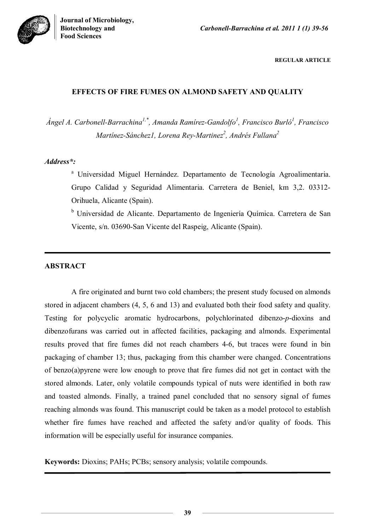

**REGULAR ARTICLE**

# **EFFECTS OF FIRE FUMES ON ALMOND SAFETY AND QUALITY**

*Ángel A. Carbonell-Barrachina1,\*, Amanda Ramírez-Gandolfo<sup>1</sup> , Francisco Burló<sup>1</sup> , Francisco Martínez-Sánchez1, Lorena Rey-Martinez<sup>2</sup> , Andrés Fullana 2*

# *Address\*:*

<sup>a</sup> Universidad Miguel Hernández. Departamento de Tecnología Agroalimentaria. Grupo Calidad y Seguridad Alimentaria. Carretera de Beniel, km 3,2. 03312- Orihuela, Alicante (Spain).

<sup>b</sup> Universidad de Alicante. Departamento de Ingeniería Química. Carretera de San Vicente, s/n. 03690-San Vicente del Raspeig, Alicante (Spain).

# **ABSTRACT**

A fire originated and burnt two cold chambers; the present study focused on almonds stored in adjacent chambers (4, 5, 6 and 13) and evaluated both their food safety and quality. Testing for polycyclic aromatic hydrocarbons, polychlorinated dibenzo-*p*-dioxins and dibenzofurans was carried out in affected facilities, packaging and almonds. Experimental results proved that fire fumes did not reach chambers 4-6, but traces were found in bin packaging of chamber 13; thus, packaging from this chamber were changed. Concentrations of benzo(a)pyrene were low enough to prove that fire fumes did not get in contact with the stored almonds. Later, only volatile compounds typical of nuts were identified in both raw and toasted almonds. Finally, a trained panel concluded that no sensory signal of fumes reaching almonds was found. This manuscript could be taken as a model protocol to establish whether fire fumes have reached and affected the safety and/or quality of foods. This information will be especially useful for insurance companies.

**Keywords:** Dioxins; PAHs; PCBs; sensory analysis; volatile compounds.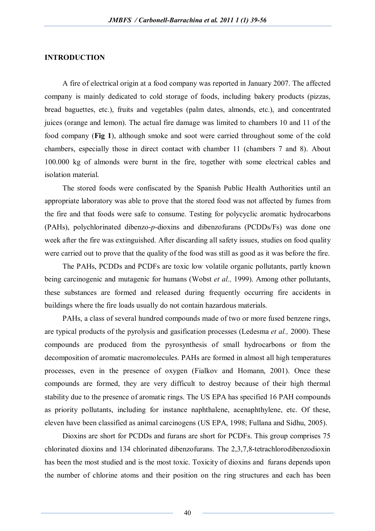## **INTRODUCTION**

A fire of electrical origin at a food company was reported in January 2007. The affected company is mainly dedicated to cold storage of foods, including bakery products (pizzas, bread baguettes, etc.), fruits and vegetables (palm dates, almonds, etc.), and concentrated juices (orange and lemon). The actual fire damage was limited to chambers 10 and 11 of the food company (**Fig 1**), although smoke and soot were carried throughout some of the cold chambers, especially those in direct contact with chamber 11 (chambers 7 and 8). About 100.000 kg of almonds were burnt in the fire, together with some electrical cables and isolation material.

The stored foods were confiscated by the Spanish Public Health Authorities until an appropriate laboratory was able to prove that the stored food was not affected by fumes from the fire and that foods were safe to consume. Testing for polycyclic aromatic hydrocarbons (PAHs), polychlorinated dibenzo-*p*-dioxins and dibenzofurans (PCDDs/Fs) was done one week after the fire was extinguished. After discarding all safety issues, studies on food quality were carried out to prove that the quality of the food was still as good as it was before the fire.

The PAHs, PCDDs and PCDFs are toxic low volatile organic pollutants, partly known being carcinogenic and mutagenic for humans (Wobst *et al.,* 1999). Among other pollutants, these substances are formed and released during frequently occurring fire accidents in buildings where the fire loads usually do not contain hazardous materials.

PAHs, a class of several hundred compounds made of two or more fused benzene rings, are typical products of the pyrolysis and gasification processes (Ledesma *et al.,* 2000). These compounds are produced from the pyrosynthesis of small hydrocarbons or from the decomposition of aromatic macromolecules. PAHs are formed in almost all high temperatures processes, even in the presence of oxygen (Fialkov and Homann, 2001). Once these compounds are formed, they are very difficult to destroy because of their high thermal stability due to the presence of aromatic rings. The US EPA has specified 16 PAH compounds as priority pollutants, including for instance naphthalene, acenaphthylene, etc. Of these, eleven have been classified as animal carcinogens (US EPA, 1998; Fullana and Sidhu, 2005).

Dioxins are short for PCDDs and furans are short for PCDFs. This group comprises 75 chlorinated dioxins and 134 chlorinated dibenzofurans. The 2,3,7,8-tetrachlorodibenzodioxin has been the most studied and is the most toxic. Toxicity of dioxins and furans depends upon the number of chlorine atoms and their position on the ring structures and each has been

40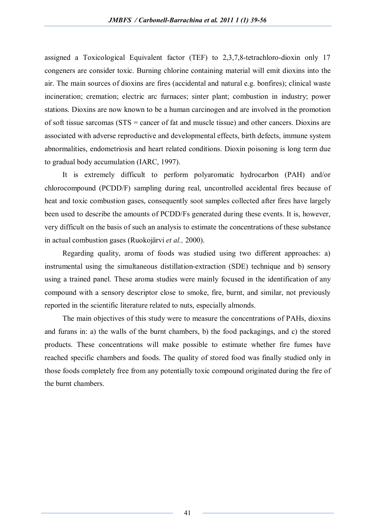assigned a Toxicological Equivalent factor (TEF) to 2,3,7,8-tetrachloro-dioxin only 17 congeners are consider toxic. Burning chlorine containing material will emit dioxins into the air. The main sources of dioxins are fires (accidental and natural e.g. bonfires); clinical waste incineration; cremation; electric arc furnaces; sinter plant; combustion in industry; power stations. Dioxins are now known to be a human carcinogen and are involved in the promotion of soft tissue sarcomas (STS = cancer of fat and muscle tissue) and other cancers. Dioxins are associated with adverse reproductive and developmental effects, birth defects, immune system abnormalities, endometriosis and heart related conditions. Dioxin poisoning is long term due to gradual body accumulation (IARC, 1997).

It is extremely difficult to perform polyaromatic hydrocarbon (PAH) and/or chlorocompound (PCDD/F) sampling during real, uncontrolled accidental fires because of heat and toxic combustion gases, consequently soot samples collected after fires have largely been used to describe the amounts of PCDD/Fs generated during these events. It is, however, very difficult on the basis of such an analysis to estimate the concentrations of these substance in actual combustion gases (Ruokojärvi *et al.,* 2000).

Regarding quality, aroma of foods was studied using two different approaches: a) instrumental using the simultaneous distillation-extraction (SDE) technique and b) sensory using a trained panel. These aroma studies were mainly focused in the identification of any compound with a sensory descriptor close to smoke, fire, burnt, and similar, not previously reported in the scientific literature related to nuts, especially almonds.

The main objectives of this study were to measure the concentrations of PAHs, dioxins and furans in: a) the walls of the burnt chambers, b) the food packagings, and c) the stored products. These concentrations will make possible to estimate whether fire fumes have reached specific chambers and foods. The quality of stored food was finally studied only in those foods completely free from any potentially toxic compound originated during the fire of the burnt chambers.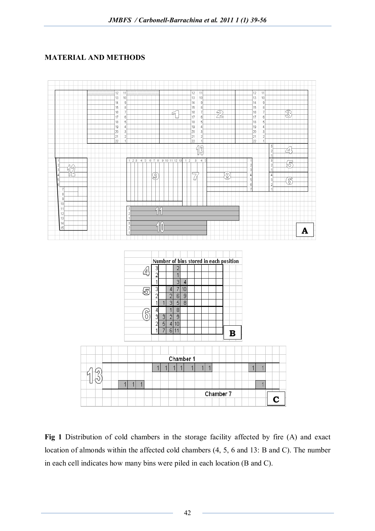# **MATERIAL AND METHODS**



**Fig 1** Distribution of cold chambers in the storage facility affected by fire (A) and exact location of almonds within the affected cold chambers (4, 5, 6 and 13: B and C). The number in each cell indicates how many bins were piled in each location (B and C).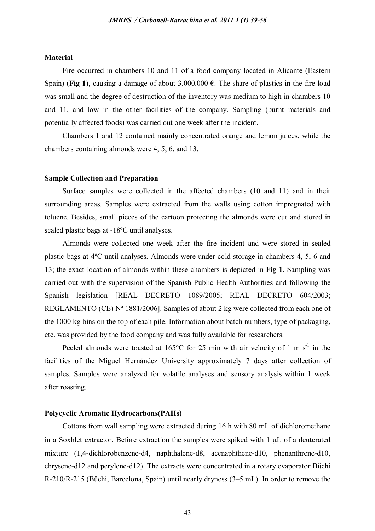## **Material**

Fire occurred in chambers 10 and 11 of a food company located in Alicante (Eastern Spain) (**Fig 1**), causing a damage of about 3.000.000  $\epsilon$ . The share of plastics in the fire load was small and the degree of destruction of the inventory was medium to high in chambers 10 and 11, and low in the other facilities of the company. Sampling (burnt materials and potentially affected foods) was carried out one week after the incident.

Chambers 1 and 12 contained mainly concentrated orange and lemon juices, while the chambers containing almonds were 4, 5, 6, and 13.

## **Sample Collection and Preparation**

Surface samples were collected in the affected chambers (10 and 11) and in their surrounding areas. Samples were extracted from the walls using cotton impregnated with toluene. Besides, small pieces of the cartoon protecting the almonds were cut and stored in sealed plastic bags at -18ºC until analyses.

Almonds were collected one week after the fire incident and were stored in sealed plastic bags at 4ºC until analyses. Almonds were under cold storage in chambers 4, 5, 6 and 13; the exact location of almonds within these chambers is depicted in **Fig 1**. Sampling was carried out with the supervision of the Spanish Public Health Authorities and following the Spanish legislation [REAL DECRETO 1089/2005; REAL DECRETO 604/2003; REGLAMENTO (CE) Nº 1881/2006]. Samples of about 2 kg were collected from each one of the 1000 kg bins on the top of each pile. Information about batch numbers, type of packaging, etc. was provided by the food company and was fully available for researchers.

Peeled almonds were toasted at  $165^{\circ}$ C for 25 min with air velocity of 1 m s<sup>-1</sup> in the facilities of the Miguel Hernández University approximately 7 days after collection of samples. Samples were analyzed for volatile analyses and sensory analysis within 1 week after roasting.

## **Polycyclic Aromatic Hydrocarbons(PAHs)**

Cottons from wall sampling were extracted during 16 h with 80 mL of dichloromethane in a Soxhlet extractor. Before extraction the samples were spiked with  $1 \mu L$  of a deuterated mixture (1,4-dichlorobenzene-d4, naphthalene-d8, acenaphthene-d10, phenanthrene-d10, chrysene-d12 and perylene-d12). The extracts were concentrated in a rotary evaporator Büchi R-210/R-215 (Büchi, Barcelona, Spain) until nearly dryness (3–5 mL). In order to remove the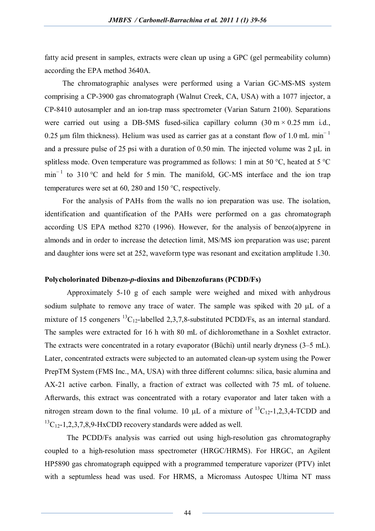fatty acid present in samples, extracts were clean up using a GPC (gel permeability column) according the EPA method 3640A.

The chromatographic analyses were performed using a Varian GC-MS-MS system comprising a CP-3900 gas chromatograph (Walnut Creek, CA, USA) with a 1077 injector, a CP-8410 autosampler and an ion-trap mass spectrometer (Varian Saturn 2100). Separations were carried out using a DB-5MS fused-silica capillary column  $(30 \text{ m} \times 0.25 \text{ mm} \text{ i.d.})$ 0.25 um film thickness). Helium was used as carrier gas at a constant flow of 1.0 mL min<sup>-1</sup> and a pressure pulse of 25 psi with a duration of 0.50 min. The injected volume was 2 μL in splitless mode. Oven temperature was programmed as follows: 1 min at 50 °C, heated at 5 °C min<sup>-1</sup> to 310 °C and held for 5 min. The manifold, GC-MS interface and the ion trap temperatures were set at 60, 280 and 150 °C, respectively.

For the analysis of PAHs from the walls no ion preparation was use. The isolation, identification and quantification of the PAHs were performed on a gas chromatograph according US EPA method 8270 (1996). However, for the analysis of benzo(a)pyrene in almonds and in order to increase the detection limit, MS/MS ion preparation was use; parent and daughter ions were set at 252, waveform type was resonant and excitation amplitude 1.30.

## **Polycholorinated Dibenzo-***p***-dioxins and Dibenzofurans (PCDD/Fs)**

Approximately 5-10 g of each sample were weighed and mixed with anhydrous sodium sulphate to remove any trace of water. The sample was spiked with  $20 \mu L$  of a mixture of 15 congeners  ${}^{13}C_{12}$ -labelled 2,3,7,8-substituted PCDD/Fs, as an internal standard. The samples were extracted for 16 h with 80 mL of dichloromethane in a Soxhlet extractor. The extracts were concentrated in a rotary evaporator (Büchi) until nearly dryness (3–5 mL). Later, concentrated extracts were subjected to an automated clean-up system using the Power PrepTM System (FMS Inc., MA, USA) with three different columns: silica, basic alumina and AX-21 active carbon. Finally, a fraction of extract was collected with 75 mL of toluene. Afterwards, this extract was concentrated with a rotary evaporator and later taken with a nitrogen stream down to the final volume. 10  $\mu$ L of a mixture of <sup>13</sup>C<sub>12</sub>-1,2,3,4-TCDD and  ${}^{13}C_{12}$ -1,2,3,7,8,9-HxCDD recovery standards were added as well.

The PCDD/Fs analysis was carried out using high-resolution gas chromatography coupled to a high-resolution mass spectrometer (HRGC/HRMS). For HRGC, an Agilent HP5890 gas chromatograph equipped with a programmed temperature vaporizer (PTV) inlet with a septumless head was used. For HRMS, a Micromass Autospec Ultima NT mass

44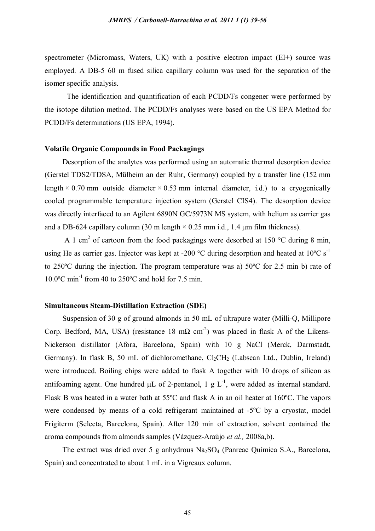spectrometer (Micromass, Waters, UK) with a positive electron impact (EI+) source was employed. A DB-5 60 m fused silica capillary column was used for the separation of the isomer specific analysis.

The identification and quantification of each PCDD/Fs congener were performed by the isotope dilution method. The PCDD/Fs analyses were based on the US EPA Method for PCDD/Fs determinations (US EPA, 1994).

# **Volatile Organic Compounds in Food Packagings**

Desorption of the analytes was performed using an automatic thermal desorption device (Gerstel TDS2/TDSA, Mülheim an der Ruhr, Germany) coupled by a transfer line (152 mm length  $\times$  0.70 mm outside diameter  $\times$  0.53 mm internal diameter, i.d.) to a cryogenically cooled programmable temperature injection system (Gerstel CIS4). The desorption device was directly interfaced to an Agilent 6890N GC/5973N MS system, with helium as carrier gas and a DB-624 capillary column (30 m length  $\times$  0.25 mm i.d., 1.4  $\mu$ m film thickness).

A 1 cm<sup>2</sup> of cartoon from the food packagings were desorbed at 150  $\degree$ C during 8 min, using He as carrier gas. Injector was kept at -200 °C during desorption and heated at  $10^{\circ}$ C s<sup>-1</sup> to 250ºC during the injection. The program temperature was a) 50ºC for 2.5 min b) rate of  $10.0$ <sup>o</sup>C min<sup>-1</sup> from 40 to 250<sup>o</sup>C and hold for 7.5 min.

#### **Simultaneous Steam-Distillation Extraction (SDE)**

Suspension of 30 g of ground almonds in 50 mL of ultrapure water (Milli-Q, Millipore Corp. Bedford, MA, USA) (resistance 18 m $\Omega$  cm<sup>-2</sup>) was placed in flask A of the Likens-Nickerson distillator (Afora, Barcelona, Spain) with 10 g NaCl (Merck, Darmstadt, Germany). In flask B, 50 mL of dichloromethane,  $Cl_2CH_2$  (Labscan Ltd., Dublin, Ireland) were introduced. Boiling chips were added to flask A together with 10 drops of silicon as antifoaming agent. One hundred  $\mu$ L of 2-pentanol, 1 g L<sup>-1</sup>, were added as internal standard. Flask B was heated in a water bath at 55ºC and flask A in an oil heater at 160ºC. The vapors were condensed by means of a cold refrigerant maintained at -5ºC by a cryostat, model Frigiterm (Selecta, Barcelona, Spain). After 120 min of extraction, solvent contained the aroma compounds from almonds samples (Vázquez-Araújo *et al.,* 2008a,b).

The extract was dried over 5 g anhydrous Na<sub>2</sub>SO<sub>4</sub> (Panreac Química S.A., Barcelona, Spain) and concentrated to about 1 mL in a Vigreaux column.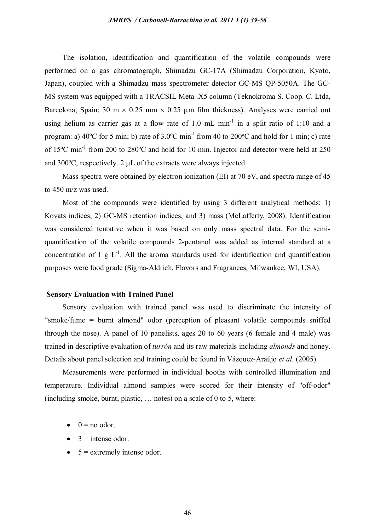The isolation, identification and quantification of the volatile compounds were performed on a gas chromatograph, Shimadzu GC-17A (Shimadzu Corporation, Kyoto, Japan), coupled with a Shimadzu mass spectrometer detector GC-MS QP-5050A. The GC-MS system was equipped with a TRACSIL Meta .X5 column (Teknokroma S. Coop. C. Ltda, Barcelona, Spain; 30 m  $\times$  0.25 mm  $\times$  0.25 µm film thickness). Analyses were carried out using helium as carrier gas at a flow rate of 1.0 mL  $min^{-1}$  in a split ratio of 1:10 and a program: a)  $40^{\circ}$ C for 5 min; b) rate of  $3.0^{\circ}$ C min<sup>-1</sup> from 40 to  $200^{\circ}$ C and hold for 1 min; c) rate of 15°C min<sup>-1</sup> from 200 to 280°C and hold for 10 min. Injector and detector were held at 250 and  $300^{\circ}$ C, respectively. 2  $\mu$ L of the extracts were always injected.

Mass spectra were obtained by electron ionization (EI) at 70 eV, and spectra range of 45 to 450 m/z was used.

Most of the compounds were identified by using 3 different analytical methods: 1) Kovats indices, 2) GC-MS retention indices, and 3) mass (McLafferty, 2008). Identification was considered tentative when it was based on only mass spectral data. For the semiquantification of the volatile compounds 2-pentanol was added as internal standard at a concentration of 1  $g L^{-1}$ . All the aroma standards used for identification and quantification purposes were food grade (Sigma-Aldrich, Flavors and Fragrances, Milwaukee, WI, USA).

## **Sensory Evaluation with Trained Panel**

Sensory evaluation with trained panel was used to discriminate the intensity of "smoke/fume = burnt almond" odor (perception of pleasant volatile compounds sniffed through the nose). A panel of 10 panelists, ages 20 to 60 years (6 female and 4 male) was trained in descriptive evaluation of *turrón* and its raw materials including *almonds* and honey. Details about panel selection and training could be found in Vázquez-Araújo *et al.* (2005).

Measurements were performed in individual booths with controlled illumination and temperature. Individual almond samples were scored for their intensity of "off-odor" (including smoke, burnt, plastic, … notes) on a scale of 0 to 5, where:

- $0 = no$  odor.
- $\bullet$  3 = intense odor.
- $\bullet$  5 = extremely intense odor.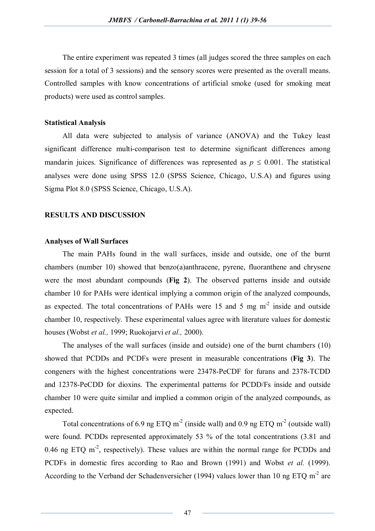The entire experiment was repeated 3 times (all judges scored the three samples on each session for a total of 3 sessions) and the sensory scores were presented as the overall means. Controlled samples with know concentrations of artificial smoke (used for smoking meat products) were used as control samples.

# **Statistical Analysis**

All data were subjected to analysis of variance (ANOVA) and the Tukey least significant difference multi-comparison test to determine significant differences among mandarin juices. Significance of differences was represented as  $p \leq 0.001$ . The statistical analyses were done using SPSS 12.0 (SPSS Science, Chicago, U.S.A) and figures using Sigma Plot 8.0 (SPSS Science, Chicago, U.S.A).

# **RESULTS AND DISCUSSION**

#### **Analyses of Wall Surfaces**

The main PAHs found in the wall surfaces, inside and outside, one of the burnt chambers (number 10) showed that benzo(a)anthracene, pyrene, fluoranthene and chrysene were the most abundant compounds (**Fig 2**). The observed patterns inside and outside chamber 10 for PAHs were identical implying a common origin of the analyzed compounds, as expected. The total concentrations of PAHs were 15 and 5 mg  $m<sup>-2</sup>$  inside and outside chamber 10, respectively. These experimental values agree with literature values for domestic houses (Wobst *et al.,* 1999; Ruokojarvi *et al.,* 2000).

The analyses of the wall surfaces (inside and outside) one of the burnt chambers (10) showed that PCDDs and PCDFs were present in measurable concentrations (**Fig 3**). The congeners with the highest concentrations were 23478-PeCDF for furans and 2378-TCDD and 12378-PeCDD for dioxins. The experimental patterns for PCDD/Fs inside and outside chamber 10 were quite similar and implied a common origin of the analyzed compounds, as expected.

Total concentrations of 6.9 ng ETQ m<sup>-2</sup> (inside wall) and 0.9 ng ETQ m<sup>-2</sup> (outside wall) were found. PCDDs represented approximately 53 % of the total concentrations (3.81 and 0.46 ng ETQ  $m<sup>-2</sup>$ , respectively). These values are within the normal range for PCDDs and PCDFs in domestic fires according to Rao and Brown (1991) and Wobst *et al.* (1999). According to the Verband der Schadenversicher (1994) values lower than 10 ng ETQ  $m<sup>2</sup>$  are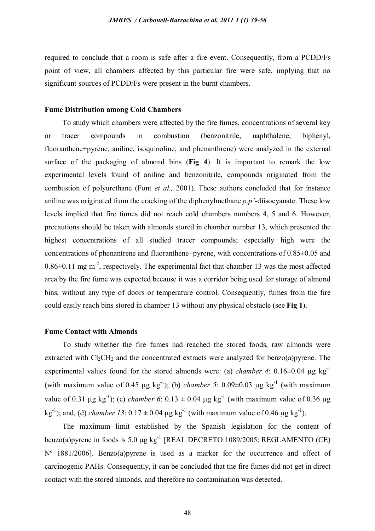required to conclude that a room is safe after a fire event. Consequently, from a PCDD/Fs point of view, all chambers affected by this particular fire were safe, implying that no significant sources of PCDD/Fs were present in the burnt chambers.

## **Fume Distribution among Cold Chambers**

To study which chambers were affected by the fire fumes, concentrations of several key or tracer compounds in combustion (benzonitrile, naphthalene, biphenyl, fluoranthene+pyrene, aniline, isoquinoline, and phenanthrene) were analyzed in the external surface of the packaging of almond bins (**Fig 4**). It is important to remark the low experimental levels found of aniline and benzonitrile, compounds originated from the combustion of polyurethane (Font *et al.,* 2001). These authors concluded that for instance aniline was originated from the cracking of the diphenylmethane *p,p'*-diisocyanate. These low levels implied that fire fumes did not reach cold chambers numbers 4, 5 and 6. However, precautions should be taken with almonds stored in chamber number 13, which presented the highest concentrations of all studied tracer compounds; especially high were the concentrations of phenantrene and fluoranthene+pyrene, with concentrations of 0.85±0.05 and  $0.86\pm0.11$  mg m<sup>-2</sup>, respectively. The experimental fact that chamber 13 was the most affected area by the fire fume was expected because it was a corridor being used for storage of almond bins, without any type of doors or temperature control. Consequently, fumes from the fire could easily reach bins stored in chamber 13 without any physical obstacle (see **Fig 1**).

# **Fume Contact with Almonds**

To study whether the fire fumes had reached the stored foods, raw almonds were extracted with  $Cl_2CH_2$  and the concentrated extracts were analyzed for benzo(a)pyrene. The experimental values found for the stored almonds were: (a) *chamber 4*:  $0.16\pm0.04$  µg kg<sup>-1</sup> (with maximum value of 0.45  $\mu$ g kg<sup>-1</sup>); (b) *chamber 5*: 0.09±0.03  $\mu$ g kg<sup>-1</sup> (with maximum value of 0.31  $\mu$ g kg<sup>-1</sup>); (c) *chamber 6*: 0.13  $\pm$  0.04  $\mu$ g kg<sup>-1</sup> (with maximum value of 0.36  $\mu$ g kg<sup>-1</sup>); and, (d) *chamber 13*:  $0.17 \pm 0.04 \,\mu g \,\text{kg}^{-1}$  (with maximum value of 0.46  $\mu g \,\text{kg}^{-1}$ ).

The maximum limit established by the Spanish legislation for the content of benzo(a)pyrene in foods is 5.0  $\mu$ g kg<sup>-1</sup> [REAL DECRETO 1089/2005; REGLAMENTO (CE) Nº 1881/2006]. Benzo(a)pyrene is used as a marker for the occurrence and effect of carcinogenic PAHs. Consequently, it can be concluded that the fire fumes did not get in direct contact with the stored almonds, and therefore no contamination was detected.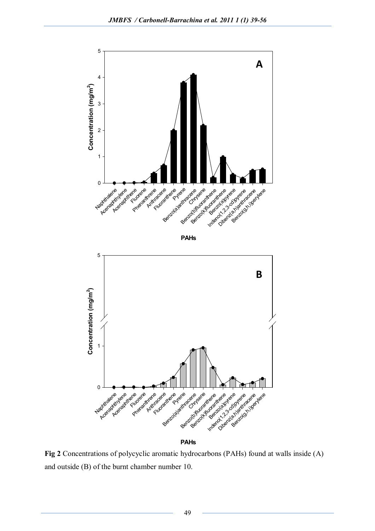



**PAHs**

**Fig 2** Concentrations of polycyclic aromatic hydrocarbons (PAHs) found at walls inside (A) and outside (B) of the burnt chamber number 10.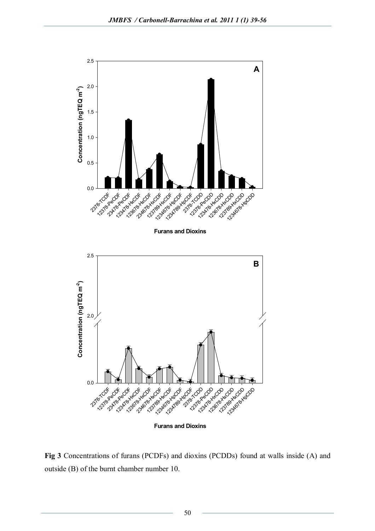

**Fig 3** Concentrations of furans (PCDFs) and dioxins (PCDDs) found at walls inside (A) and outside (B) of the burnt chamber number 10.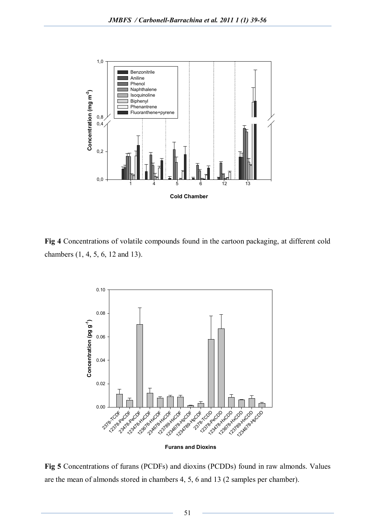

**Fig 4** Concentrations of volatile compounds found in the cartoon packaging, at different cold chambers (1, 4, 5, 6, 12 and 13).



**Furans and Dioxins**

**Fig 5** Concentrations of furans (PCDFs) and dioxins (PCDDs) found in raw almonds. Values are the mean of almonds stored in chambers 4, 5, 6 and 13 (2 samples per chamber).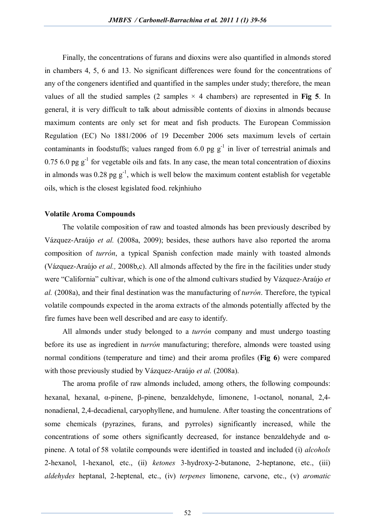Finally, the concentrations of furans and dioxins were also quantified in almonds stored in chambers 4, 5, 6 and 13. No significant differences were found for the concentrations of any of the congeners identified and quantified in the samples under study; therefore, the mean values of all the studied samples  $(2 \text{ samples} \times 4 \text{ chambers})$  are represented in Fig 5. In general, it is very difficult to talk about admissible contents of dioxins in almonds because maximum contents are only set for meat and fish products. The European Commission Regulation (EC) No 1881/2006 of 19 December 2006 sets maximum levels of certain contaminants in foodstuffs; values ranged from 6.0 pg  $g^{-1}$  in liver of terrestrial animals and  $0.75$  6.0 pg  $g^{-1}$  for vegetable oils and fats. In any case, the mean total concentration of dioxins in almonds was 0.28 pg  $g^{-1}$ , which is well below the maximum content establish for vegetable oils, which is the closest legislated food. rekjnhiuho

## **Volatile Aroma Compounds**

The volatile composition of raw and toasted almonds has been previously described by Vázquez-Araújo *et al.* (2008a, 2009); besides, these authors have also reported the aroma composition of *turrón*, a typical Spanish confection made mainly with toasted almonds (Vázquez-Araújo *et al.,* 2008b,c). All almonds affected by the fire in the facilities under study were "California" cultivar, which is one of the almond cultivars studied by Vázquez-Araújo *et al.* (2008a), and their final destination was the manufacturing of *turrón*. Therefore, the typical volatile compounds expected in the aroma extracts of the almonds potentially affected by the fire fumes have been well described and are easy to identify.

All almonds under study belonged to a *turrón* company and must undergo toasting before its use as ingredient in *turrón* manufacturing; therefore, almonds were toasted using normal conditions (temperature and time) and their aroma profiles (**Fig 6**) were compared with those previously studied by Vázquez-Araújo *et al.* (2008a).

The aroma profile of raw almonds included, among others, the following compounds: hexanal, hexanal,  $\alpha$ -pinene,  $\beta$ -pinene, benzaldehyde, limonene, 1-octanol, nonanal, 2,4nonadienal, 2,4-decadienal, caryophyllene, and humulene. After toasting the concentrations of some chemicals (pyrazines, furans, and pyrroles) significantly increased, while the concentrations of some others significantly decreased, for instance benzaldehyde and αpinene. A total of 58 volatile compounds were identified in toasted and included (i) *alcohols* 2-hexanol, 1-hexanol, etc., (ii) *ketones* 3-hydroxy-2-butanone, 2-heptanone, etc., (iii) *aldehydes* heptanal, 2-heptenal, etc., (iv) *terpenes* limonene, carvone, etc., (v) *aromatic* 

52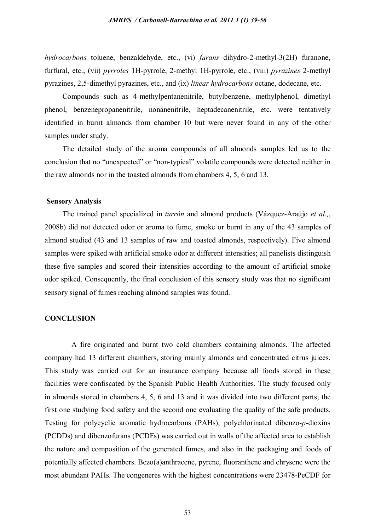*hydrocarbons* toluene, benzaldehyde, etc., (vi) *furans* dihydro-2-methyl-3(2H) furanone, furfural, etc., (vii) *pyrroles* 1H-pyrrole, 2-methyl 1H-pyrrole, etc., (viii) *pyrazines* 2-methyl pyrazines, 2,5-dimethyl pyrazines, etc., and (ix) *linear hydrocarbons* octane, dodecane, etc.

Compounds such as 4-methylpentanenitrile, butylbenzene, methylphenol, dimethyl phenol, benzenepropanenitrile, nonanenitrile, heptadecanenitrile, etc. were tentatively identified in burnt almonds from chamber 10 but were never found in any of the other samples under study.

The detailed study of the aroma compounds of all almonds samples led us to the conclusion that no "unexpected" or "non-typical" volatile compounds were detected neither in the raw almonds nor in the toasted almonds from chambers 4, 5, 6 and 13.

## **Sensory Analysis**

The trained panel specialized in *turrón* and almond products (Vázquez-Araújo *et al.,*, 2008b) did not detected odor or aroma to fume, smoke or burnt in any of the 43 samples of almond studied (43 and 13 samples of raw and toasted almonds, respectively). Five almond samples were spiked with artificial smoke odor at different intensities; all panelists distinguish these five samples and scored their intensities according to the amount of artificial smoke odor spiked. Consequently, the final conclusion of this sensory study was that no significant sensory signal of fumes reaching almond samples was found.

# **CONCLUSION**

A fire originated and burnt two cold chambers containing almonds. The affected company had 13 different chambers, storing mainly almonds and concentrated citrus juices. This study was carried out for an insurance company because all foods stored in these facilities were confiscated by the Spanish Public Health Authorities. The study focused only in almonds stored in chambers 4, 5, 6 and 13 and it was divided into two different parts; the first one studying food safety and the second one evaluating the quality of the safe products. Testing for polycyclic aromatic hydrocarbons (PAHs), polychlorinated dibenzo-*p*-dioxins (PCDDs) and dibenzofurans (PCDFs) was carried out in walls of the affected area to establish the nature and composition of the generated fumes, and also in the packaging and foods of potentially affected chambers. Bezo(a)anthracene, pyrene, fluoranthene and chrysene were the most abundant PAHs. The congeneres with the highest concentrations were 23478-PeCDF for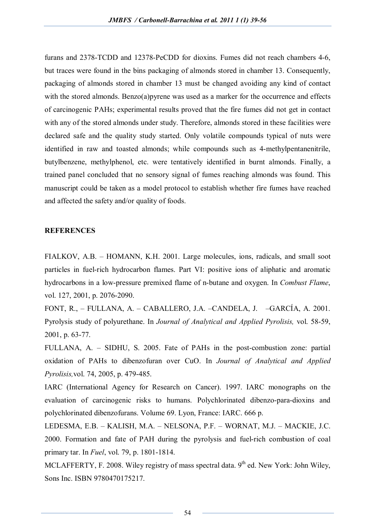furans and 2378-TCDD and 12378-PeCDD for dioxins. Fumes did not reach chambers 4-6, but traces were found in the bins packaging of almonds stored in chamber 13. Consequently, packaging of almonds stored in chamber 13 must be changed avoiding any kind of contact with the stored almonds. Benzo(a)pyrene was used as a marker for the occurrence and effects of carcinogenic PAHs; experimental results proved that the fire fumes did not get in contact with any of the stored almonds under study. Therefore, almonds stored in these facilities were declared safe and the quality study started. Only volatile compounds typical of nuts were identified in raw and toasted almonds; while compounds such as 4-methylpentanenitrile, butylbenzene, methylphenol, etc. were tentatively identified in burnt almonds. Finally, a trained panel concluded that no sensory signal of fumes reaching almonds was found. This manuscript could be taken as a model protocol to establish whether fire fumes have reached and affected the safety and/or quality of foods.

#### **REFERENCES**

FIALKOV, A.B. – HOMANN, K.H. 2001. Large molecules, ions, radicals, and small soot particles in fuel-rich hydrocarbon flames. Part VI: positive ions of aliphatic and aromatic hydrocarbons in a low-pressure premixed flame of n-butane and oxygen. In *Combust Flame*, vol. 127, 2001, p. 2076-2090.

FONT, R., – FULLANA, A. – CABALLERO, J.A. –CANDELA, J. –GARCÍA, A. 2001. Pyrolysis study of polyurethane. In *Journal of Analytical and Applied Pyrolisis,* vol. 58-59, 2001, p. 63-77.

FULLANA, A. – SIDHU, S. 2005. Fate of PAHs in the post-combustion zone: partial oxidation of PAHs to dibenzofuran over CuO. In *Journal of Analytical and Applied Pyrolisis,*vol. 74, 2005, p. 479-485.

IARC (International Agency for Research on Cancer). 1997. IARC monographs on the evaluation of carcinogenic risks to humans. Polychlorinated dibenzo-para-dioxins and polychlorinated dibenzofurans. Volume 69. Lyon, France: IARC. 666 p.

LEDESMA, E.B. – KALISH, M.A. – NELSONA, P.F. – WORNAT, M.J. – MACKIE, J.C. 2000. Formation and fate of PAH during the pyrolysis and fuel-rich combustion of coal primary tar. In *Fuel*, vol. 79, p. 1801-1814.

MCLAFFERTY, F. 2008. Wiley registry of mass spectral data. 9<sup>th</sup> ed. New York: John Wiley, Sons Inc. ISBN 9780470175217.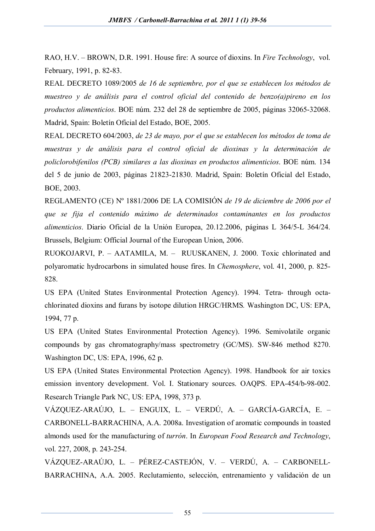RAO, H.V. – BROWN, D.R. 1991. House fire: A source of dioxins. In *Fire Technology*, vol. February, 1991, p. 82-83.

REAL DECRETO 1089/2005 *de 16 de septiembre, por el que se establecen los métodos de muestreo y de análisis para el control oficial del contenido de benzo(a)pireno en los productos alimenticios*. BOE núm. 232 del 28 de septiembre de 2005, páginas 32065-32068. Madrid, Spain: Boletín Oficial del Estado, BOE, 2005.

REAL DECRETO 604/2003, *de 23 de mayo, por el que se establecen los métodos de toma de muestras y de análisis para el control oficial de dioxinas y la determinación de policlorobifenilos (PCB) similares a las dioxinas en productos alimenticios*. BOE núm. 134 del 5 de junio de 2003, páginas 21823-21830. Madrid, Spain: Boletín Oficial del Estado, BOE, 2003.

REGLAMENTO (CE) Nº 1881/2006 DE LA COMISIÓN *de 19 de diciembre de 2006 por el que se fija el contenido máximo de determinados contaminantes en los productos alimenticios*. Diario Oficial de la Unión Europea, 20.12.2006, páginas L 364/5-L 364/24. Brussels, Belgium: Official Journal of the European Union, 2006.

RUOKOJARVI, P. – AATAMILA, M. – RUUSKANEN, J. 2000. Toxic chlorinated and polyaromatic hydrocarbons in simulated house fires. In *Chemosphere*, vol. 41, 2000, p. 825- 828.

US EPA (United States Environmental Protection Agency). 1994. Tetra- through octachlorinated dioxins and furans by isotope dilution HRGC/HRMS*.* Washington DC, US: EPA, 1994, 77 p.

US EPA (United States Environmental Protection Agency). 1996. Semivolatile organic compounds by gas chromatography/mass spectrometry (GC/MS). SW-846 method 8270. Washington DC, US: EPA, 1996, 62 p.

US EPA (United States Environmental Protection Agency). 1998. Handbook for air toxics emission inventory development. Vol. I. Stationary sources. OAQPS. EPA-454/b-98-002. Research Triangle Park NC, US: EPA, 1998, 373 p.

VÁZQUEZ-ARAÚJO, L. – ENGUIX, L. – VERDÚ, A. – GARCÍA-GARCÍA, E. – CARBONELL-BARRACHINA, A.A. 2008a. Investigation of aromatic compounds in toasted almonds used for the manufacturing of *turrón*. In *European Food Research and Technology*, vol. 227, 2008, p. 243-254.

VÁZQUEZ-ARAÚJO, L. – PÉREZ-CASTEJÓN, V. – VERDÚ, A. – CARBONELL-BARRACHINA, A.A. 2005. Reclutamiento, selección, entrenamiento y validación de un